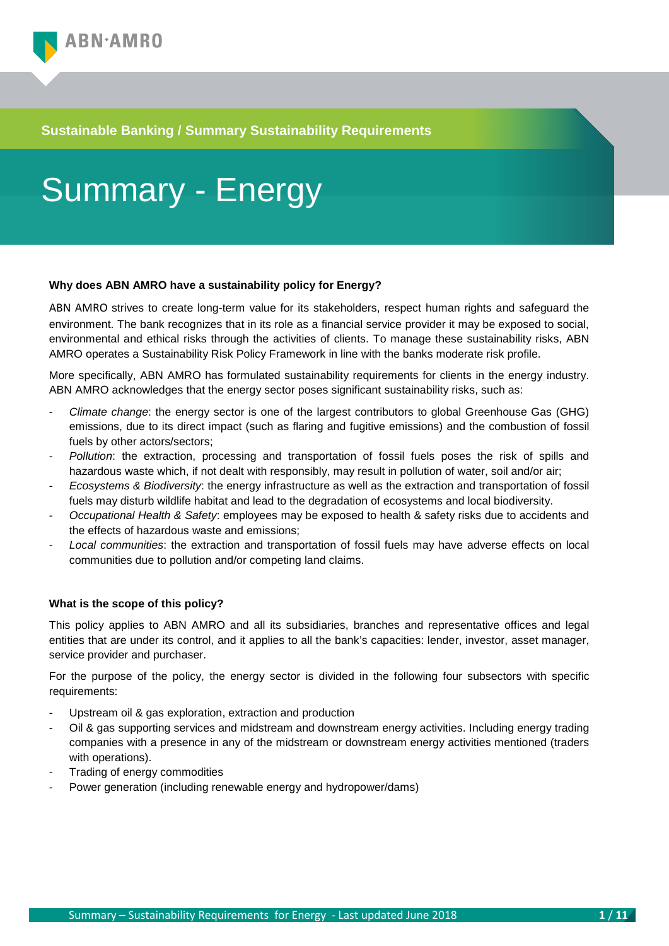## **Sustainable Banking / Summary Sustainability Requirements**

# Summary - Energy

## **Why does ABN AMRO have a sustainability policy for Energy?**

ABN AMRO strives to create long-term value for its stakeholders, respect human rights and safeguard the environment. The bank recognizes that in its role as a financial service provider it may be exposed to social, environmental and ethical risks through the activities of clients. To manage these sustainability risks, ABN AMRO operates a Sustainability Risk Policy Framework in line with the banks moderate risk profile.

More specifically, ABN AMRO has formulated sustainability requirements for clients in the energy industry. ABN AMRO acknowledges that the energy sector poses significant sustainability risks, such as:

- *Climate change*: the energy sector is one of the largest contributors to global Greenhouse Gas (GHG) emissions, due to its direct impact (such as flaring and fugitive emissions) and the combustion of fossil fuels by other actors/sectors;
- *Pollution*: the extraction, processing and transportation of fossil fuels poses the risk of spills and hazardous waste which, if not dealt with responsibly, may result in pollution of water, soil and/or air;
- *Ecosystems & Biodiversity*: the energy infrastructure as well as the extraction and transportation of fossil fuels may disturb wildlife habitat and lead to the degradation of ecosystems and local biodiversity.
- *Occupational Health & Safety*: employees may be exposed to health & safety risks due to accidents and the effects of hazardous waste and emissions;
- Local communities: the extraction and transportation of fossil fuels may have adverse effects on local communities due to pollution and/or competing land claims.

## **What is the scope of this policy?**

This policy applies to ABN AMRO and all its subsidiaries, branches and representative offices and legal entities that are under its control, and it applies to all the bank's capacities: lender, investor, asset manager, service provider and purchaser.

For the purpose of the policy, the energy sector is divided in the following four subsectors with specific requirements:

- Upstream oil & gas exploration, extraction and production
- Oil & gas supporting services and midstream and downstream energy activities. Including energy trading companies with a presence in any of the midstream or downstream energy activities mentioned (traders with operations).
- Trading of energy commodities
- Power generation (including renewable energy and hydropower/dams)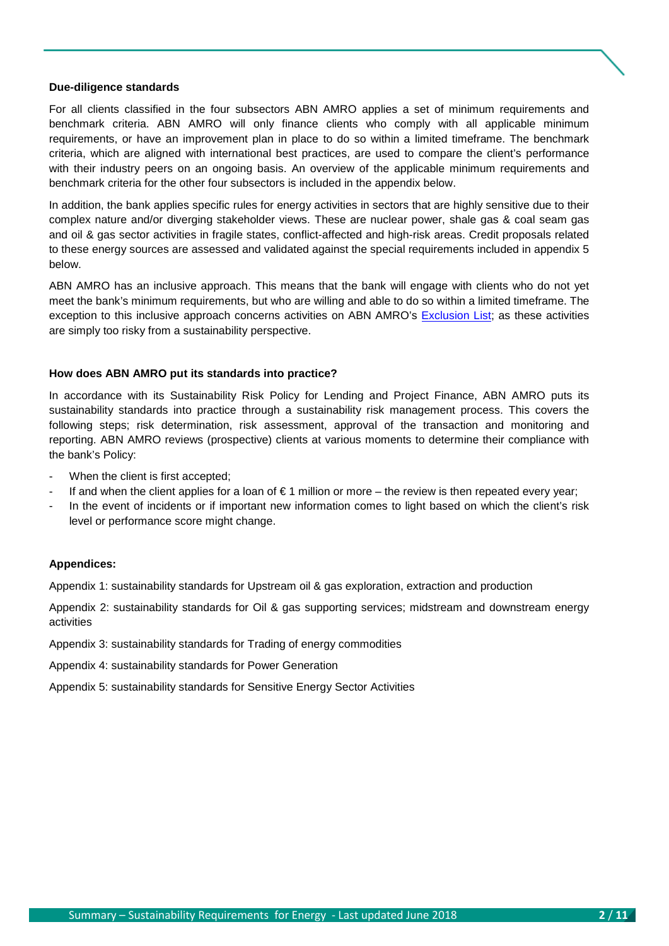#### **Due-diligence standards**

For all clients classified in the four subsectors ABN AMRO applies a set of minimum requirements and benchmark criteria. ABN AMRO will only finance clients who comply with all applicable minimum requirements, or have an improvement plan in place to do so within a limited timeframe. The benchmark criteria, which are aligned with international best practices, are used to compare the client's performance with their industry peers on an ongoing basis. An overview of the applicable minimum requirements and benchmark criteria for the other four subsectors is included in the appendix below.

In addition, the bank applies specific rules for energy activities in sectors that are highly sensitive due to their complex nature and/or diverging stakeholder views. These are nuclear power, shale gas & coal seam gas and oil & gas sector activities in fragile states, conflict-affected and high-risk areas. Credit proposals related to these energy sources are assessed and validated against the special requirements included in appendix 5 below.

ABN AMRO has an inclusive approach. This means that the bank will engage with clients who do not yet meet the bank's minimum requirements, but who are willing and able to do so within a limited timeframe. The exception to this inclusive approach concerns activities on ABN AMRO's [Exclusion List;](https://www.abnamro.com/en/images/Documents/040_Sustainable_banking/060_Strategy/ABN_AMRO_Exclusion_list.pdf) as these activities are simply too risky from a sustainability perspective.

#### **How does ABN AMRO put its standards into practice?**

In accordance with its Sustainability Risk Policy for Lending and Project Finance, ABN AMRO puts its sustainability standards into practice through a sustainability risk management process. This covers the following steps; risk determination, risk assessment, approval of the transaction and monitoring and reporting. ABN AMRO reviews (prospective) clients at various moments to determine their compliance with the bank's Policy:

- When the client is first accepted:
- If and when the client applies for a loan of  $\epsilon$  1 million or more the review is then repeated every year;
- In the event of incidents or if important new information comes to light based on which the client's risk level or performance score might change.

#### **Appendices:**

Appendix 1: sustainability standards for Upstream oil & gas exploration, extraction and production

Appendix 2: sustainability standards for Oil & gas supporting services; midstream and downstream energy activities

Appendix 3: sustainability standards for Trading of energy commodities

Appendix 4: sustainability standards for Power Generation

Appendix 5: sustainability standards for Sensitive Energy Sector Activities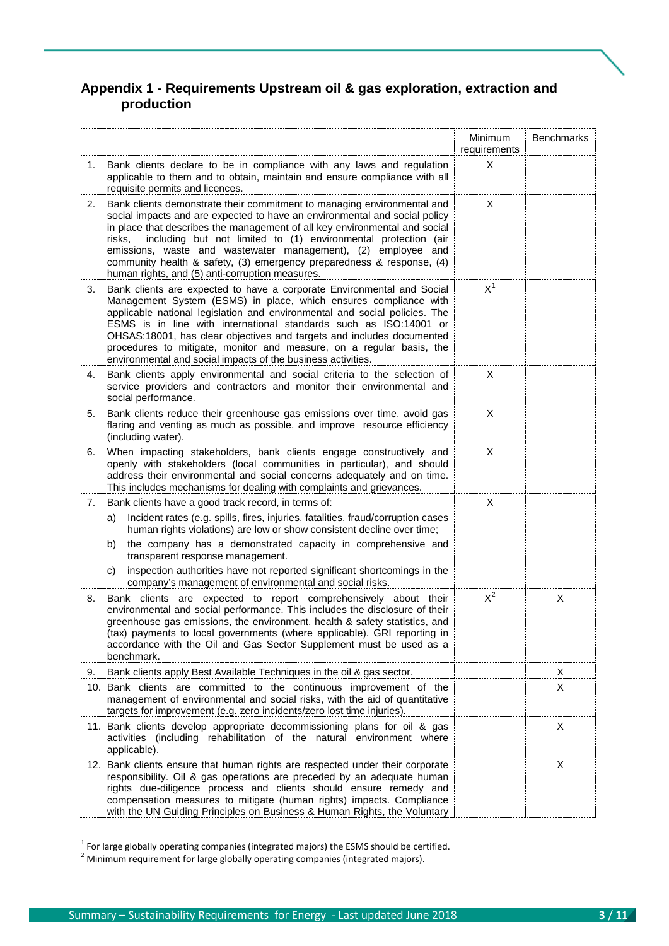## **Appendix 1 - Requirements Upstream oil & gas exploration, extraction and production**

|    |                                                                                                                                                                                                                                                                                                                                                                                                                                                                                                                | Minimum<br>requirements | <b>Benchmarks</b> |
|----|----------------------------------------------------------------------------------------------------------------------------------------------------------------------------------------------------------------------------------------------------------------------------------------------------------------------------------------------------------------------------------------------------------------------------------------------------------------------------------------------------------------|-------------------------|-------------------|
| 1. | Bank clients declare to be in compliance with any laws and regulation<br>applicable to them and to obtain, maintain and ensure compliance with all<br>requisite permits and licences.                                                                                                                                                                                                                                                                                                                          | X                       |                   |
| 2. | Bank clients demonstrate their commitment to managing environmental and<br>social impacts and are expected to have an environmental and social policy<br>in place that describes the management of all key environmental and social<br>including but not limited to (1) environmental protection (air<br>risks.<br>emissions, waste and wastewater management), (2) employee and<br>community health & safety, (3) emergency preparedness & response, (4)<br>human rights, and (5) anti-corruption measures.   | X                       |                   |
| 3. | Bank clients are expected to have a corporate Environmental and Social<br>Management System (ESMS) in place, which ensures compliance with<br>applicable national legislation and environmental and social policies. The<br>ESMS is in line with international standards such as ISO:14001 or<br>OHSAS:18001, has clear objectives and targets and includes documented<br>procedures to mitigate, monitor and measure, on a regular basis, the<br>environmental and social impacts of the business activities. | X <sup>1</sup>          |                   |
| 4. | Bank clients apply environmental and social criteria to the selection of<br>service providers and contractors and monitor their environmental and<br>social performance.                                                                                                                                                                                                                                                                                                                                       | X                       |                   |
| 5. | Bank clients reduce their greenhouse gas emissions over time, avoid gas<br>flaring and venting as much as possible, and improve resource efficiency<br>(including water).                                                                                                                                                                                                                                                                                                                                      | X                       |                   |
| 6. | When impacting stakeholders, bank clients engage constructively and<br>openly with stakeholders (local communities in particular), and should<br>address their environmental and social concerns adequately and on time.<br>This includes mechanisms for dealing with complaints and grievances.                                                                                                                                                                                                               | X                       |                   |
| 7. | Bank clients have a good track record, in terms of:                                                                                                                                                                                                                                                                                                                                                                                                                                                            | X                       |                   |
|    | Incident rates (e.g. spills, fires, injuries, fatalities, fraud/corruption cases<br>a)<br>human rights violations) are low or show consistent decline over time;                                                                                                                                                                                                                                                                                                                                               |                         |                   |
|    | the company has a demonstrated capacity in comprehensive and<br>b)<br>transparent response management.                                                                                                                                                                                                                                                                                                                                                                                                         |                         |                   |
|    | inspection authorities have not reported significant shortcomings in the<br>C)<br>company's management of environmental and social risks.                                                                                                                                                                                                                                                                                                                                                                      |                         |                   |
| 8. | Bank clients are expected to report comprehensively about their<br>environmental and social performance. This includes the disclosure of their<br>greenhouse gas emissions, the environment, health & safety statistics, and<br>(tax) payments to local governments (where applicable). GRI reporting in<br>accordance with the Oil and Gas Sector Supplement must be used as a<br>benchmark.                                                                                                                  | $X^2$                   | X                 |
| 9. | Bank clients apply Best Available Techniques in the oil & gas sector.                                                                                                                                                                                                                                                                                                                                                                                                                                          |                         | X                 |
|    | 10. Bank clients are committed to the continuous improvement of the<br>management of environmental and social risks, with the aid of quantitative<br>targets for improvement (e.g. zero incidents/zero lost time injuries).                                                                                                                                                                                                                                                                                    |                         | X                 |
|    | 11. Bank clients develop appropriate decommissioning plans for oil & gas<br>activities (including rehabilitation of the natural environment where<br>applicable).                                                                                                                                                                                                                                                                                                                                              |                         | X                 |
|    | 12. Bank clients ensure that human rights are respected under their corporate<br>responsibility. Oil & gas operations are preceded by an adequate human<br>rights due-diligence process and clients should ensure remedy and<br>compensation measures to mitigate (human rights) impacts. Compliance<br>with the UN Guiding Principles on Business & Human Rights, the Voluntary                                                                                                                               |                         | Χ                 |

<span id="page-2-0"></span><sup>&</sup>lt;sup>1</sup> For large globally operating companies (integrated majors) the ESMS should be certified. <sup>2</sup> Minimum requirement for large globally operating companies (integrated majors).

<span id="page-2-1"></span>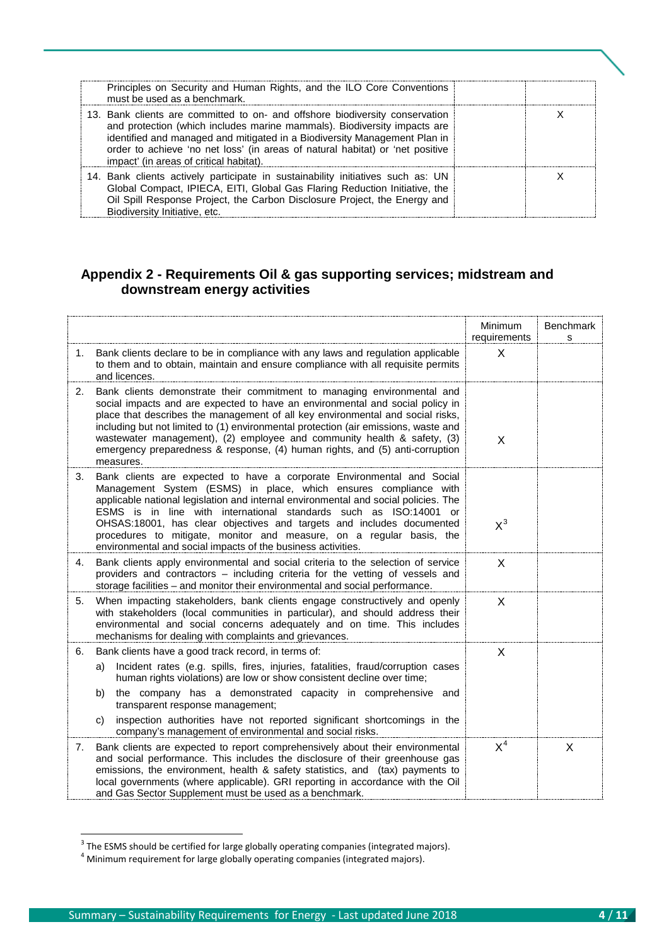| Principles on Security and Human Rights, and the ILO Core Conventions<br>must be used as a benchmark.                                                                                                                                                                                                                                                             |  |
|-------------------------------------------------------------------------------------------------------------------------------------------------------------------------------------------------------------------------------------------------------------------------------------------------------------------------------------------------------------------|--|
| 13. Bank clients are committed to on- and offshore biodiversity conservation<br>and protection (which includes marine mammals). Biodiversity impacts are<br>identified and managed and mitigated in a Biodiversity Management Plan in<br>order to achieve 'no net loss' (in areas of natural habitat) or 'net positive<br>impact' (in areas of critical habitat). |  |
| 14. Bank clients actively participate in sustainability initiatives such as: UN<br>Global Compact, IPIECA, EITI, Global Gas Flaring Reduction Initiative, the<br>Oil Spill Response Project, the Carbon Disclosure Project, the Energy and<br>Biodiversity Initiative, etc.                                                                                       |  |

## **Appendix 2 - Requirements Oil & gas supporting services; midstream and downstream energy activities**

|    |                                                                                                                                                                                                                                                                                                                                                                                                                                                                                                                         | <b>Minimum</b><br>requirements | Benchmark<br>s |
|----|-------------------------------------------------------------------------------------------------------------------------------------------------------------------------------------------------------------------------------------------------------------------------------------------------------------------------------------------------------------------------------------------------------------------------------------------------------------------------------------------------------------------------|--------------------------------|----------------|
| 1. | Bank clients declare to be in compliance with any laws and regulation applicable<br>to them and to obtain, maintain and ensure compliance with all requisite permits<br>and licences.                                                                                                                                                                                                                                                                                                                                   | X                              |                |
| 2. | Bank clients demonstrate their commitment to managing environmental and<br>social impacts and are expected to have an environmental and social policy in<br>place that describes the management of all key environmental and social risks,<br>including but not limited to (1) environmental protection (air emissions, waste and<br>wastewater management), (2) employee and community health & safety, (3)<br>emergency preparedness & response, (4) human rights, and (5) anti-corruption<br>measures.               | X                              |                |
| 3. | Bank clients are expected to have a corporate Environmental and Social<br>Management System (ESMS) in place, which ensures compliance with<br>applicable national legislation and internal environmental and social policies. The<br>ESMS is in line with international standards such as ISO:14001 or<br>OHSAS:18001, has clear objectives and targets and includes documented<br>procedures to mitigate, monitor and measure, on a regular basis, the<br>environmental and social impacts of the business activities. | $X^3$                          |                |
| 4. | Bank clients apply environmental and social criteria to the selection of service<br>providers and contractors – including criteria for the vetting of vessels and<br>storage facilities - and monitor their environmental and social performance.                                                                                                                                                                                                                                                                       | X                              |                |
| 5. | When impacting stakeholders, bank clients engage constructively and openly<br>with stakeholders (local communities in particular), and should address their<br>environmental and social concerns adequately and on time. This includes<br>mechanisms for dealing with complaints and grievances.                                                                                                                                                                                                                        | X                              |                |
| 6. | Bank clients have a good track record, in terms of:                                                                                                                                                                                                                                                                                                                                                                                                                                                                     | X                              |                |
|    | Incident rates (e.g. spills, fires, injuries, fatalities, fraud/corruption cases<br>a)<br>human rights violations) are low or show consistent decline over time;                                                                                                                                                                                                                                                                                                                                                        |                                |                |
|    | the company has a demonstrated capacity in comprehensive and<br>b)<br>transparent response management;                                                                                                                                                                                                                                                                                                                                                                                                                  |                                |                |
|    | inspection authorities have not reported significant shortcomings in the<br>C)<br>company's management of environmental and social risks.                                                                                                                                                                                                                                                                                                                                                                               |                                |                |
| 7. | Bank clients are expected to report comprehensively about their environmental<br>and social performance. This includes the disclosure of their greenhouse gas<br>emissions, the environment, health & safety statistics, and (tax) payments to<br>local governments (where applicable). GRI reporting in accordance with the Oil<br>and Gas Sector Supplement must be used as a benchmark.                                                                                                                              | $X^4$                          | X              |

**THE ESMS should be certified for large globally operating companies (integrated majors).**<br>The ESMS should be certified for large globally operating companies (integrated majors).

<span id="page-3-1"></span><span id="page-3-0"></span> $^4$  Minimum requirement for large globally operating companies (integrated majors).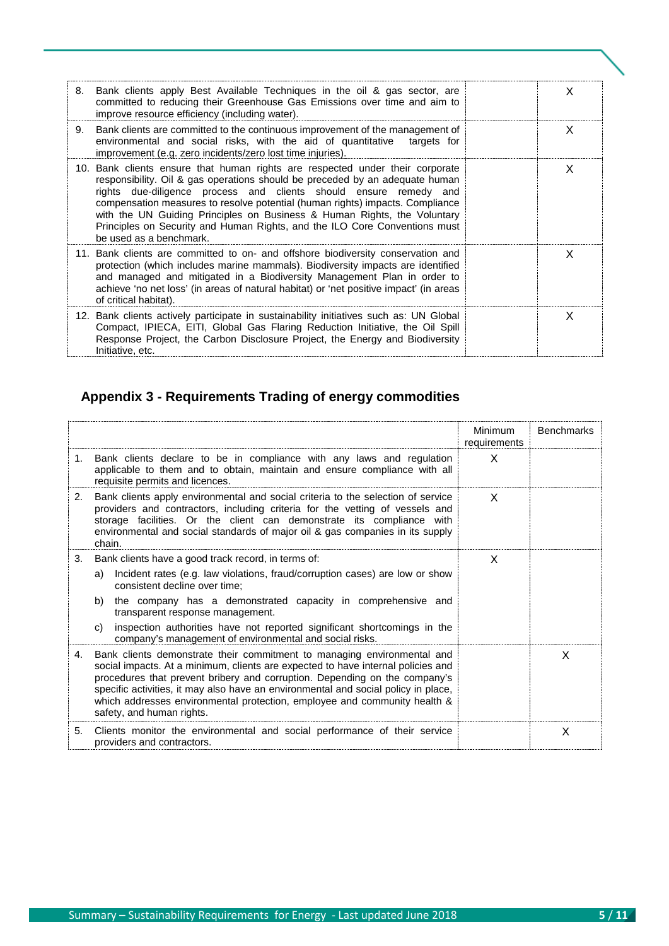| Bank clients apply Best Available Techniques in the oil & gas sector, are<br>8.<br>committed to reducing their Greenhouse Gas Emissions over time and aim to<br>improve resource efficiency (including water).                                                                                                                                                                                                                                                                                           | x |  |
|----------------------------------------------------------------------------------------------------------------------------------------------------------------------------------------------------------------------------------------------------------------------------------------------------------------------------------------------------------------------------------------------------------------------------------------------------------------------------------------------------------|---|--|
| Bank clients are committed to the continuous improvement of the management of<br>9.<br>environmental and social risks, with the aid of quantitative targets for<br>improvement (e.g. zero incidents/zero lost time injuries).                                                                                                                                                                                                                                                                            | x |  |
| 10. Bank clients ensure that human rights are respected under their corporate<br>responsibility. Oil & gas operations should be preceded by an adequate human<br>rights due-diligence process and clients should ensure remedy and<br>compensation measures to resolve potential (human rights) impacts. Compliance<br>with the UN Guiding Principles on Business & Human Rights, the Voluntary<br>Principles on Security and Human Rights, and the ILO Core Conventions must<br>be used as a benchmark. | х |  |
| 11. Bank clients are committed to on- and offshore biodiversity conservation and<br>protection (which includes marine mammals). Biodiversity impacts are identified<br>and managed and mitigated in a Biodiversity Management Plan in order to<br>achieve 'no net loss' (in areas of natural habitat) or 'net positive impact' (in areas<br>of critical habitat).                                                                                                                                        | X |  |
| 12. Bank clients actively participate in sustainability initiatives such as: UN Global<br>Compact, IPIECA, EITI, Global Gas Flaring Reduction Initiative, the Oil Spill<br>Response Project, the Carbon Disclosure Project, the Energy and Biodiversity<br>Initiative, etc.                                                                                                                                                                                                                              | X |  |

## **Appendix 3 - Requirements Trading of energy commodities**

|    |                                                                                                                                                                                                                                                                                                                                                                                                                                           | Minimum<br>requirements | <b>Benchmarks</b> |
|----|-------------------------------------------------------------------------------------------------------------------------------------------------------------------------------------------------------------------------------------------------------------------------------------------------------------------------------------------------------------------------------------------------------------------------------------------|-------------------------|-------------------|
|    | 1. Bank clients declare to be in compliance with any laws and regulation<br>applicable to them and to obtain, maintain and ensure compliance with all<br>requisite permits and licences.                                                                                                                                                                                                                                                  | X                       |                   |
| 2. | Bank clients apply environmental and social criteria to the selection of service<br>providers and contractors, including criteria for the vetting of vessels and<br>storage facilities. Or the client can demonstrate its compliance with<br>environmental and social standards of major oil & gas companies in its supply<br>chain.                                                                                                      | X                       |                   |
| 3. | Bank clients have a good track record, in terms of:                                                                                                                                                                                                                                                                                                                                                                                       | X                       |                   |
|    | Incident rates (e.g. law violations, fraud/corruption cases) are low or show<br>a)<br>consistent decline over time:                                                                                                                                                                                                                                                                                                                       |                         |                   |
|    | the company has a demonstrated capacity in comprehensive and<br>b)<br>transparent response management.                                                                                                                                                                                                                                                                                                                                    |                         |                   |
|    | inspection authorities have not reported significant shortcomings in the<br>C)<br>company's management of environmental and social risks.                                                                                                                                                                                                                                                                                                 |                         |                   |
| 4. | Bank clients demonstrate their commitment to managing environmental and<br>social impacts. At a minimum, clients are expected to have internal policies and<br>procedures that prevent bribery and corruption. Depending on the company's<br>specific activities, it may also have an environmental and social policy in place,<br>which addresses environmental protection, employee and community health &<br>safety, and human rights. |                         | X                 |
| 5. | Clients monitor the environmental and social performance of their service<br>providers and contractors.                                                                                                                                                                                                                                                                                                                                   |                         | X                 |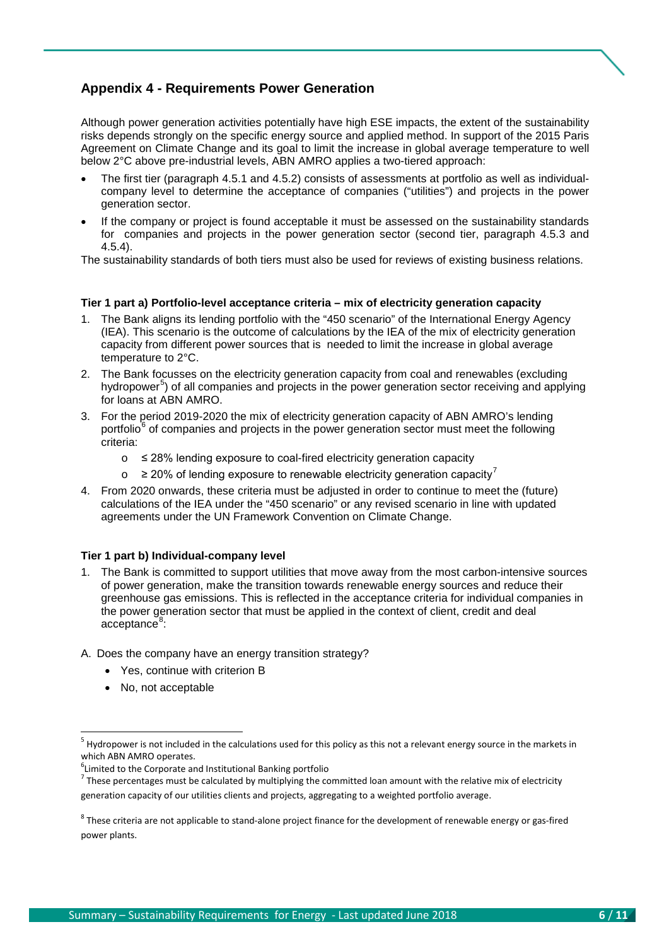## **Appendix 4 - Requirements Power Generation**

Although power generation activities potentially have high ESE impacts, the extent of the sustainability risks depends strongly on the specific energy source and applied method. In support of the 2015 Paris Agreement on Climate Change and its goal to limit the increase in global average temperature to well below 2°C above pre-industrial levels, ABN AMRO applies a two-tiered approach:

- The first tier (paragraph 4.5.1 and 4.5.2) consists of assessments at portfolio as well as individualcompany level to determine the acceptance of companies ("utilities") and projects in the power generation sector.
- If the company or project is found acceptable it must be assessed on the sustainability standards for companies and projects in the power generation sector (second tier, paragraph 4.5.3 and 4.5.4).

The sustainability standards of both tiers must also be used for reviews of existing business relations.

## **Tier 1 part a) Portfolio-level acceptance criteria – mix of electricity generation capacity**

- 1. The Bank aligns its lending portfolio with the "450 scenario" of the International Energy Agency (IEA). This scenario is the outcome of calculations by the IEA of the mix of electricity generation capacity from different power sources that is needed to limit the increase in global average temperature to 2°C.
- 2. The Bank focusses on the electricity generation capacity from coal and renewables (excluding hydropower<sup>[5](#page-5-0)</sup>) of all companies and projects in the power generation sector receiving and applying for loans at ABN AMRO.
- 3. For the period 2019-2020 the mix of electricity generation capacity of ABN AMRO's lending portfolio<sup>[6](#page-5-1)</sup> of companies and projects in the power generation sector must meet the following criteria:
	- o ≤ 28% lending exposure to coal-fired electricity generation capacity
	- $\circ$  ≥ 20% of lending exposure to renewable electricity generation capacity<sup>[7](#page-5-2)</sup>
- 4. From 2020 onwards, these criteria must be adjusted in order to continue to meet the (future) calculations of the IEA under the "450 scenario" or any revised scenario in line with updated agreements under the UN Framework Convention on Climate Change.

## **Tier 1 part b) Individual-company level**

- 1. The Bank is committed to support utilities that move away from the most carbon-intensive sources of power generation, make the transition towards renewable energy sources and reduce their greenhouse gas emissions. This is reflected in the acceptance criteria for individual companies in the power generation sector that must be applied in the context of client, credit and deal acceptance<sup>[8](#page-5-3)</sup>:
- A. Does the company have an energy transition strategy?
	- Yes, continue with criterion B
	- No, not acceptable

<sup>6</sup>Limited to the Corporate and Institutional Banking portfolio

<span id="page-5-0"></span><sup>&</sup>lt;sup>5</sup> Hydropower is not included in the calculations used for this policy as this not a relevant energy source in the markets in which ABN AMRO operates.

<span id="page-5-2"></span><span id="page-5-1"></span> $^7$  These percentages must be calculated by multiplying the committed loan amount with the relative mix of electricity generation capacity of our utilities clients and projects, aggregating to a weighted portfolio average.

<span id="page-5-3"></span> $8$  These criteria are not applicable to stand-alone project finance for the development of renewable energy or gas-fired power plants.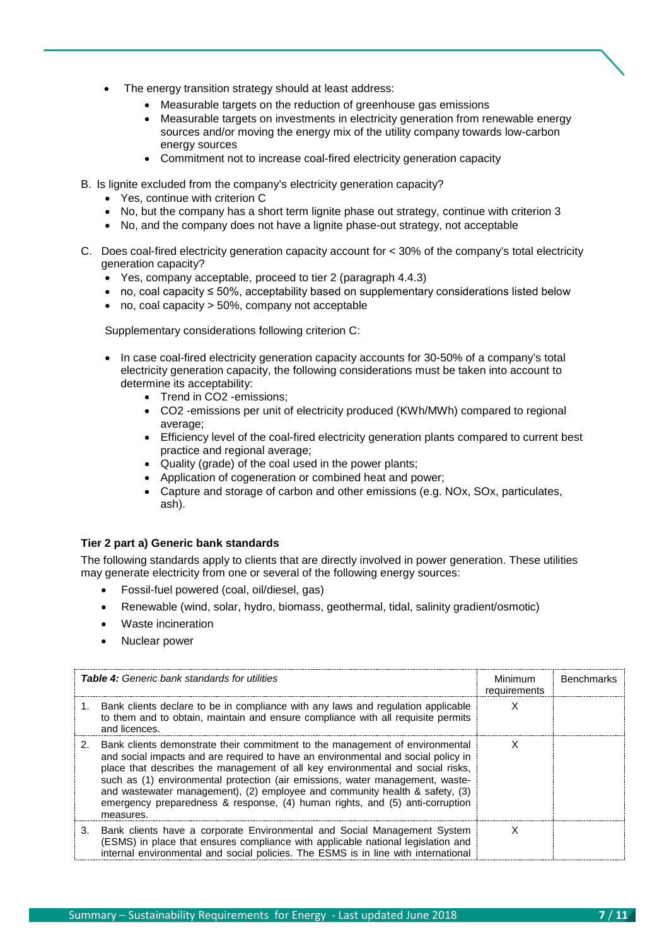- The energy transition strategy should at least address:
	- Measurable targets on the reduction of greenhouse gas emissions
	- Measurable targets on investments in electricity generation from renewable energy sources and/or moving the energy mix of the utility company towards low-carbon energy sources
	- Commitment not to increase coal-fired electricity generation capacity
- B. Is lignite excluded from the company's electricity generation capacity?
	- Yes, continue with criterion C
	- No, but the company has a short term lignite phase out strategy, continue with criterion 3
	- No, and the company does not have a lignite phase-out strategy, not acceptable
- C. Does coal-fired electricity generation capacity account for < 30% of the company's total electricity generation capacity?
	- Yes, company acceptable, proceed to tier 2 (paragraph 4.4.3)
	- no, coal capacity ≤ 50%, acceptability based on supplementary considerations listed below
	- no, coal capacity > 50%, company not acceptable

Supplementary considerations following criterion C:

- In case coal-fired electricity generation capacity accounts for 30-50% of a company's total electricity generation capacity, the following considerations must be taken into account to determine its acceptability:
	- Trend in CO2 -emissions;
	- CO2 -emissions per unit of electricity produced (KWh/MWh) compared to regional average;
	- Efficiency level of the coal-fired electricity generation plants compared to current best practice and regional average;
	- Quality (grade) of the coal used in the power plants;
	- Application of cogeneration or combined heat and power;
	- Capture and storage of carbon and other emissions (e.g. NOx, SOx, particulates, ash).

#### **Tier 2 part a) Generic bank standards**

The following standards apply to clients that are directly involved in power generation. These utilities may generate electricity from one or several of the following energy sources:

- Fossil-fuel powered (coal, oil/diesel, gas)
- Renewable (wind, solar, hydro, biomass, geothermal, tidal, salinity gradient/osmotic)
- Waste incineration
- Nuclear power

| <b>Table 4:</b> Generic bank standards for utilities |                                                                                                                                                                                                                                                                                                                                                                                                                                                                                                                     | Minimum<br>requirements | <b>Benchmarks</b> |
|------------------------------------------------------|---------------------------------------------------------------------------------------------------------------------------------------------------------------------------------------------------------------------------------------------------------------------------------------------------------------------------------------------------------------------------------------------------------------------------------------------------------------------------------------------------------------------|-------------------------|-------------------|
|                                                      | 1. Bank clients declare to be in compliance with any laws and regulation applicable<br>to them and to obtain, maintain and ensure compliance with all requisite permits<br>and licences.                                                                                                                                                                                                                                                                                                                            | х                       |                   |
|                                                      | 2. Bank clients demonstrate their commitment to the management of environmental<br>and social impacts and are required to have an environmental and social policy in<br>place that describes the management of all key environmental and social risks,<br>such as (1) environmental protection (air emissions, water management, waste-<br>and wastewater management), (2) employee and community health & safety, (3)<br>emergency preparedness & response, (4) human rights, and (5) anti-corruption<br>measures. |                         |                   |
| 3.                                                   | Bank clients have a corporate Environmental and Social Management System<br>(ESMS) in place that ensures compliance with applicable national legislation and<br>internal environmental and social policies. The ESMS is in line with international                                                                                                                                                                                                                                                                  |                         |                   |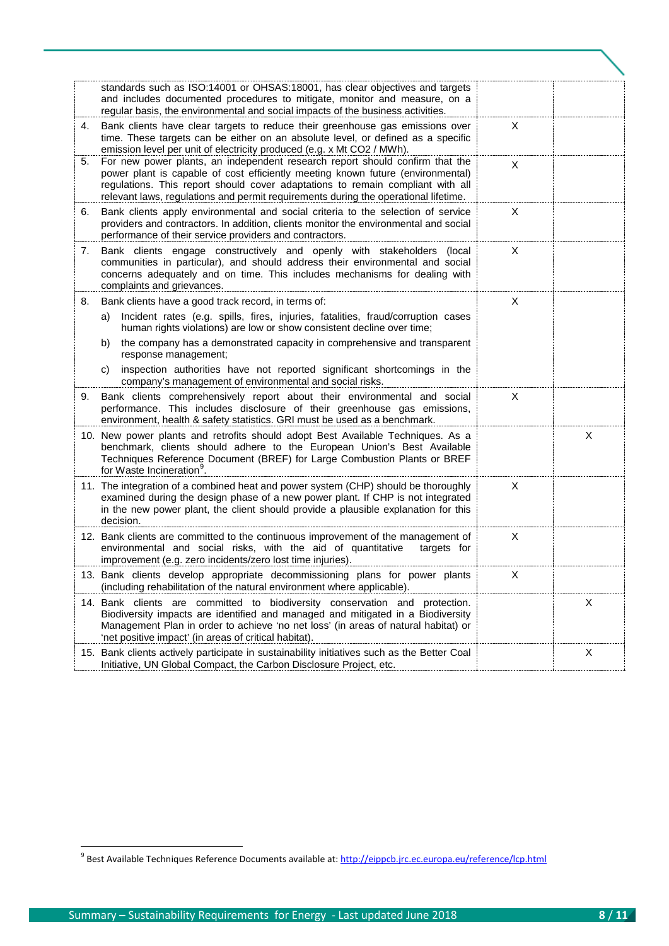|    | standards such as ISO:14001 or OHSAS:18001, has clear objectives and targets<br>and includes documented procedures to mitigate, monitor and measure, on a<br>regular basis, the environmental and social impacts of the business activities.                                                                                             |   |   |
|----|------------------------------------------------------------------------------------------------------------------------------------------------------------------------------------------------------------------------------------------------------------------------------------------------------------------------------------------|---|---|
| 4. | Bank clients have clear targets to reduce their greenhouse gas emissions over<br>time. These targets can be either on an absolute level, or defined as a specific<br>emission level per unit of electricity produced (e.g. x Mt CO2 / MWh).                                                                                              | X |   |
| 5. | For new power plants, an independent research report should confirm that the<br>power plant is capable of cost efficiently meeting known future (environmental)<br>regulations. This report should cover adaptations to remain compliant with all<br>relevant laws, regulations and permit requirements during the operational lifetime. | X |   |
| 6. | Bank clients apply environmental and social criteria to the selection of service<br>providers and contractors. In addition, clients monitor the environmental and social<br>performance of their service providers and contractors.                                                                                                      | X |   |
| 7. | Bank clients engage constructively and openly with stakeholders (local<br>communities in particular), and should address their environmental and social<br>concerns adequately and on time. This includes mechanisms for dealing with<br>complaints and grievances.                                                                      | X |   |
| 8. | Bank clients have a good track record, in terms of:                                                                                                                                                                                                                                                                                      | X |   |
|    | Incident rates (e.g. spills, fires, injuries, fatalities, fraud/corruption cases<br>a)<br>human rights violations) are low or show consistent decline over time;                                                                                                                                                                         |   |   |
|    | the company has a demonstrated capacity in comprehensive and transparent<br>b)<br>response management;                                                                                                                                                                                                                                   |   |   |
|    | inspection authorities have not reported significant shortcomings in the<br>C)<br>company's management of environmental and social risks.                                                                                                                                                                                                |   |   |
| 9. | Bank clients comprehensively report about their environmental and social<br>performance. This includes disclosure of their greenhouse gas emissions,<br>environment, health & safety statistics. GRI must be used as a benchmark.                                                                                                        | X |   |
|    | 10. New power plants and retrofits should adopt Best Available Techniques. As a<br>benchmark, clients should adhere to the European Union's Best Available<br>Techniques Reference Document (BREF) for Large Combustion Plants or BREF<br>for Waste Incineration                                                                         |   | X |
|    | 11. The integration of a combined heat and power system (CHP) should be thoroughly<br>examined during the design phase of a new power plant. If CHP is not integrated<br>in the new power plant, the client should provide a plausible explanation for this<br>decision.                                                                 | X |   |
|    | 12. Bank clients are committed to the continuous improvement of the management of<br>environmental and social risks, with the aid of quantitative<br>targets for<br>improvement (e.g. zero incidents/zero lost time injuries).                                                                                                           | X |   |
|    | 13. Bank clients develop appropriate decommissioning plans for power plants<br>(including rehabilitation of the natural environment where applicable).                                                                                                                                                                                   | X |   |
|    | 14. Bank clients are committed to biodiversity conservation and protection.<br>Biodiversity impacts are identified and managed and mitigated in a Biodiversity<br>Management Plan in order to achieve 'no net loss' (in areas of natural habitat) or<br>'net positive impact' (in areas of critical habitat).                            |   | Χ |
|    | 15. Bank clients actively participate in sustainability initiatives such as the Better Coal<br>Initiative, UN Global Compact, the Carbon Disclosure Project, etc.                                                                                                                                                                        |   | X |

<span id="page-7-0"></span><sup>&</sup>lt;sup>9</sup> Best Available Techniques Reference Documents available at[: http://eippcb.jrc.ec.europa.eu/reference/lcp.html](http://eippcb.jrc.ec.europa.eu/reference/lcp.html)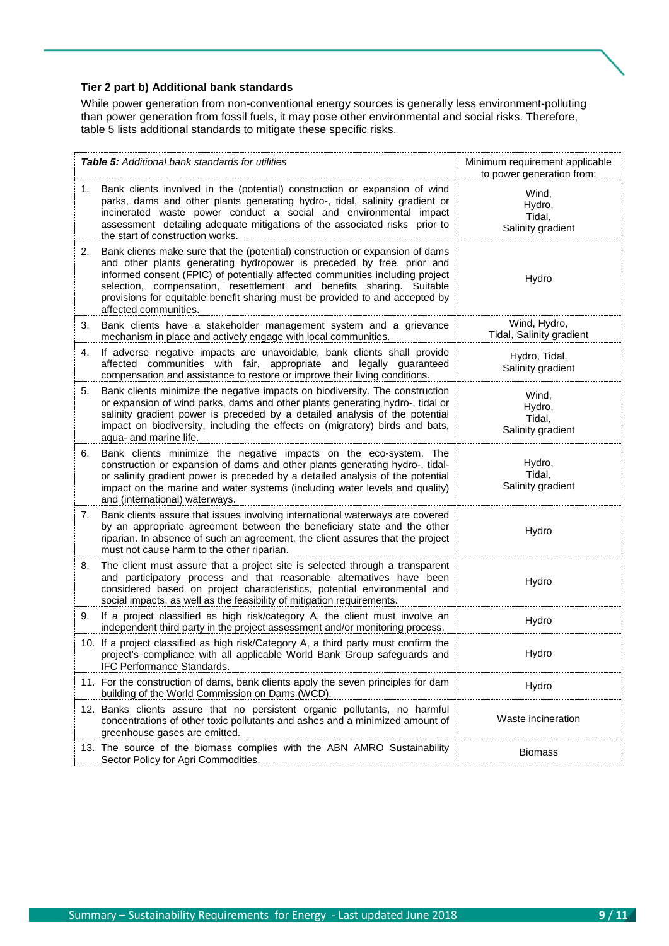## **Tier 2 part b) Additional bank standards**

While power generation from non-conventional energy sources is generally less environment-polluting than power generation from fossil fuels, it may pose other environmental and social risks. Therefore, table 5 lists additional standards to mitigate these specific risks.

| <b>Table 5:</b> Additional bank standards for utilities |                                                                                                                                                                                                                                                                                                                                                                                                                          | Minimum requirement applicable<br>to power generation from: |
|---------------------------------------------------------|--------------------------------------------------------------------------------------------------------------------------------------------------------------------------------------------------------------------------------------------------------------------------------------------------------------------------------------------------------------------------------------------------------------------------|-------------------------------------------------------------|
| 1.                                                      | Bank clients involved in the (potential) construction or expansion of wind<br>parks, dams and other plants generating hydro-, tidal, salinity gradient or<br>incinerated waste power conduct a social and environmental impact<br>assessment detailing adequate mitigations of the associated risks prior to<br>the start of construction works.                                                                         | Wind,<br>Hydro,<br>Tidal,<br>Salinity gradient              |
| 2.                                                      | Bank clients make sure that the (potential) construction or expansion of dams<br>and other plants generating hydropower is preceded by free, prior and<br>informed consent (FPIC) of potentially affected communities including project<br>selection, compensation, resettlement and benefits sharing. Suitable<br>provisions for equitable benefit sharing must be provided to and accepted by<br>affected communities. | Hydro                                                       |
| 3.                                                      | Bank clients have a stakeholder management system and a grievance<br>mechanism in place and actively engage with local communities.                                                                                                                                                                                                                                                                                      | Wind, Hydro,<br>Tidal, Salinity gradient                    |
| 4.                                                      | If adverse negative impacts are unavoidable, bank clients shall provide<br>affected communities with fair, appropriate and legally guaranteed<br>compensation and assistance to restore or improve their living conditions.                                                                                                                                                                                              | Hydro, Tidal,<br>Salinity gradient                          |
| 5.                                                      | Bank clients minimize the negative impacts on biodiversity. The construction<br>or expansion of wind parks, dams and other plants generating hydro-, tidal or<br>salinity gradient power is preceded by a detailed analysis of the potential<br>impact on biodiversity, including the effects on (migratory) birds and bats,<br>aqua- and marine life.                                                                   | Wind,<br>Hydro,<br>Tidal,<br>Salinity gradient              |
| 6.                                                      | Bank clients minimize the negative impacts on the eco-system. The<br>construction or expansion of dams and other plants generating hydro-, tidal-<br>or salinity gradient power is preceded by a detailed analysis of the potential<br>impact on the marine and water systems (including water levels and quality)<br>and (international) waterways.                                                                     | Hydro,<br>Tidal,<br>Salinity gradient                       |
| 7.                                                      | Bank clients assure that issues involving international waterways are covered<br>by an appropriate agreement between the beneficiary state and the other<br>riparian. In absence of such an agreement, the client assures that the project<br>must not cause harm to the other riparian.                                                                                                                                 | Hydro                                                       |
| 8.                                                      | The client must assure that a project site is selected through a transparent<br>and participatory process and that reasonable alternatives have been<br>considered based on project characteristics, potential environmental and<br>social impacts, as well as the feasibility of mitigation requirements.                                                                                                               | Hydro                                                       |
| 9.                                                      | If a project classified as high risk/category A, the client must involve an<br>independent third party in the project assessment and/or monitoring process.                                                                                                                                                                                                                                                              | Hydro                                                       |
|                                                         | 10. If a project classified as high risk/Category A, a third party must confirm the<br>project's compliance with all applicable World Bank Group safeguards and<br>IFC Performance Standards.                                                                                                                                                                                                                            | Hvdro                                                       |
|                                                         | 11. For the construction of dams, bank clients apply the seven principles for dam<br>building of the World Commission on Dams (WCD).                                                                                                                                                                                                                                                                                     | Hydro                                                       |
|                                                         | 12. Banks clients assure that no persistent organic pollutants, no harmful<br>concentrations of other toxic pollutants and ashes and a minimized amount of<br>greenhouse gases are emitted.                                                                                                                                                                                                                              | Waste incineration                                          |
|                                                         | 13. The source of the biomass complies with the ABN AMRO Sustainability<br>Sector Policy for Agri Commodities.                                                                                                                                                                                                                                                                                                           | <b>Biomass</b>                                              |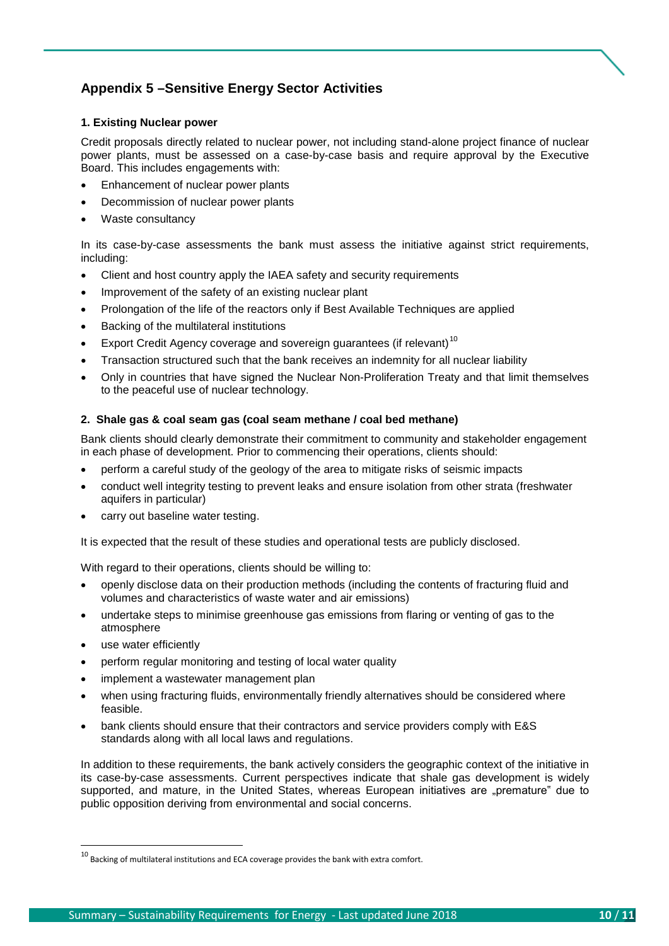## **Appendix 5 –Sensitive Energy Sector Activities**

## **1. Existing Nuclear power**

Credit proposals directly related to nuclear power, not including stand-alone project finance of nuclear power plants, must be assessed on a case-by-case basis and require approval by the Executive Board. This includes engagements with:

- Enhancement of nuclear power plants
- Decommission of nuclear power plants
- Waste consultancy

In its case-by-case assessments the bank must assess the initiative against strict requirements, including:

- Client and host country apply the IAEA safety and security requirements
- Improvement of the safety of an existing nuclear plant
- Prolongation of the life of the reactors only if Best Available Techniques are applied
- Backing of the multilateral institutions
- Export Credit Agency coverage and sovereign guarantees (if relevant)<sup>[10](#page-9-0)</sup>
- Transaction structured such that the bank receives an indemnity for all nuclear liability
- Only in countries that have signed the Nuclear Non-Proliferation Treaty and that limit themselves to the peaceful use of nuclear technology.

## **2. Shale gas & coal seam gas (coal seam methane / coal bed methane)**

Bank clients should clearly demonstrate their commitment to community and stakeholder engagement in each phase of development. Prior to commencing their operations, clients should:

- perform a careful study of the geology of the area to mitigate risks of seismic impacts
- conduct well integrity testing to prevent leaks and ensure isolation from other strata (freshwater aquifers in particular)
- carry out baseline water testing.

It is expected that the result of these studies and operational tests are publicly disclosed.

With regard to their operations, clients should be willing to:

- openly disclose data on their production methods (including the contents of fracturing fluid and volumes and characteristics of waste water and air emissions)
- undertake steps to minimise greenhouse gas emissions from flaring or venting of gas to the atmosphere
- use water efficiently
- perform regular monitoring and testing of local water quality
- implement a wastewater management plan
- when using fracturing fluids, environmentally friendly alternatives should be considered where feasible.
- bank clients should ensure that their contractors and service providers comply with E&S standards along with all local laws and regulations.

In addition to these requirements, the bank actively considers the geographic context of the initiative in its case-by-case assessments. Current perspectives indicate that shale gas development is widely supported, and mature, in the United States, whereas European initiatives are "premature" due to public opposition deriving from environmental and social concerns.

<span id="page-9-0"></span> $10$  Backing of multilateral institutions and ECA coverage provides the bank with extra comfort.